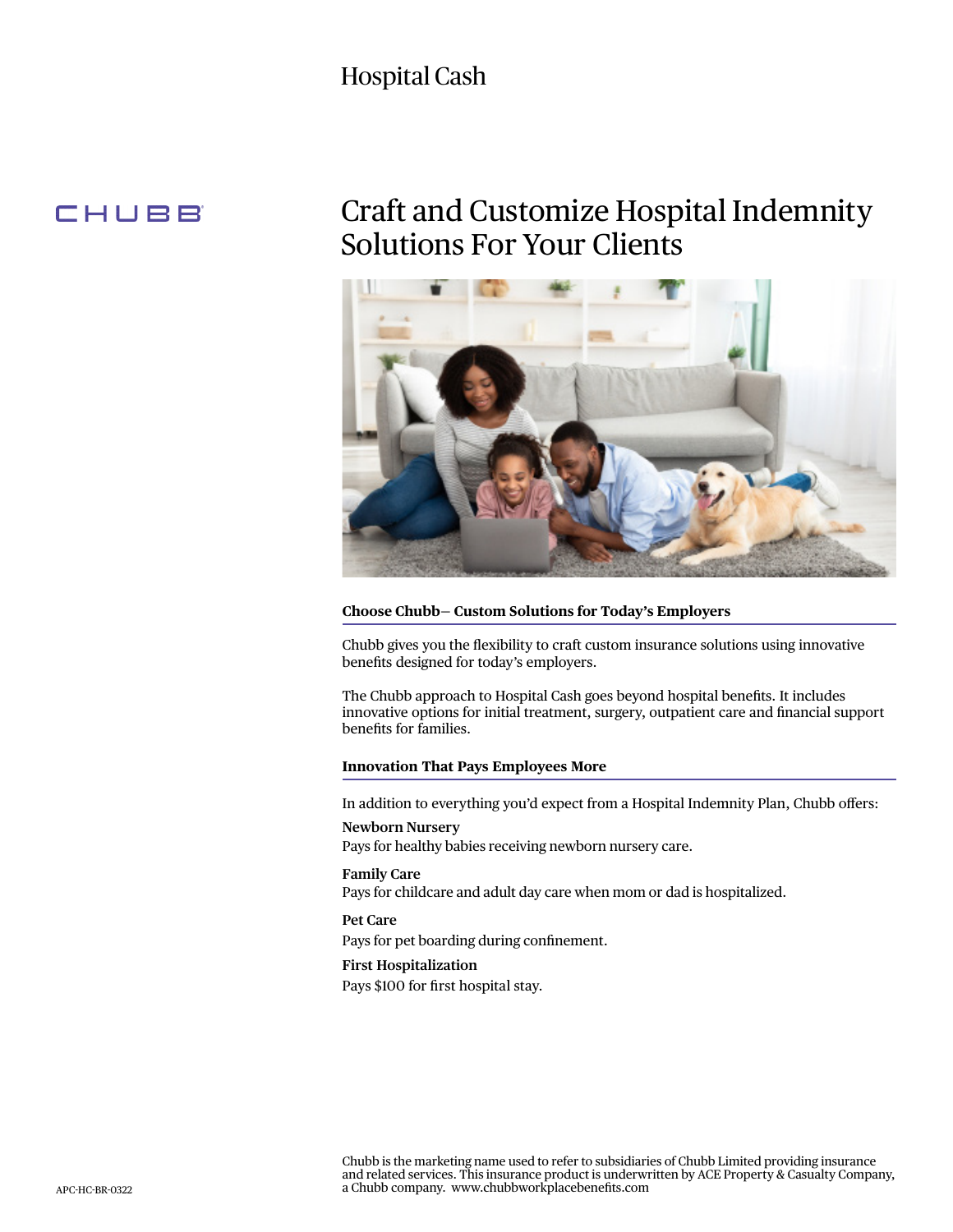## Hospital Cash

### CHUBB

## Craft and Customize Hospital Indemnity Solutions For Your Clients



#### **Choose Chubb— Custom Solutions for Today's Employers**

Chubb gives you the flexibility to craft custom insurance solutions using innovative benefits designed for today's employers.

The Chubb approach to Hospital Cash goes beyond hospital benefits. It includes innovative options for initial treatment, surgery, outpatient care and financial support benefits for families.

#### **Innovation That Pays Employees More**

In addition to everything you'd expect from a Hospital Indemnity Plan, Chubb offers:

#### **Newborn Nursery**

Pays for healthy babies receiving newborn nursery care.

#### **Family Care** Pays for childcare and adult day care when mom or dad is hospitalized.

**Pet Care** 

Pays for pet boarding during confinement.

#### **First Hospitalization**

Pays \$100 for first hospital stay.